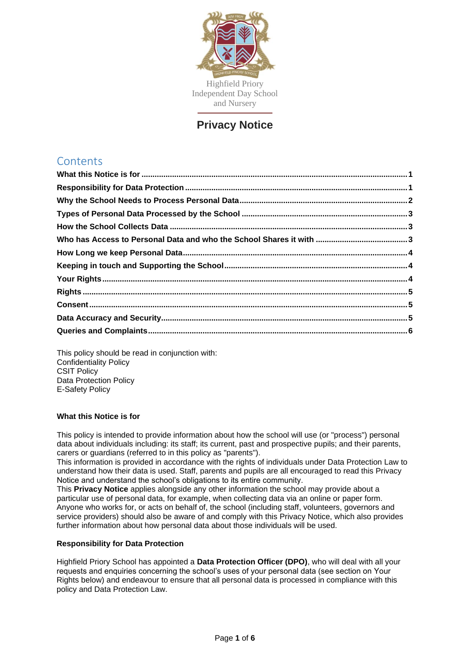

## **Privacy Notice**

# **Contents**

<span id="page-0-0"></span>This policy should be read in conjunction with: Confidentiality Policy CSIT Policy Data Protection Policy E-Safety Policy

## **What this Notice is for**

This policy is intended to provide information about how the school will use (or "process") personal data about individuals including: its staff; its current, past and prospective pupils; and their parents, carers or guardians (referred to in this policy as "parents").

This information is provided in accordance with the rights of individuals under Data Protection Law to understand how their data is used. Staff, parents and pupils are all encouraged to read this Privacy Notice and understand the school's obligations to its entire community.

This **Privacy Notice** applies alongside any other information the school may provide about a particular use of personal data, for example, when collecting data via an online or paper form. Anyone who works for, or acts on behalf of, the school (including staff, volunteers, governors and service providers) should also be aware of and comply with this Privacy Notice, which also provides further information about how personal data about those individuals will be used.

## <span id="page-0-1"></span>**Responsibility for Data Protection**

Highfield Priory School has appointed a **Data Protection Officer (DPO)**, who will deal with all your requests and enquiries concerning the school's uses of your personal data (see section on Your Rights below) and endeavour to ensure that all personal data is processed in compliance with this policy and Data Protection Law.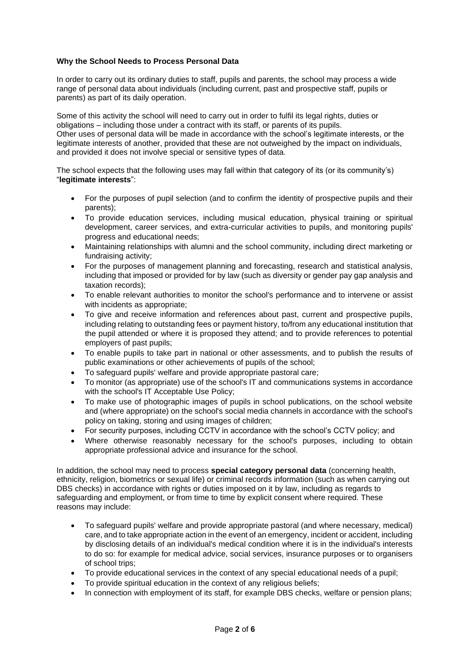## <span id="page-1-0"></span>**Why the School Needs to Process Personal Data**

In order to carry out its ordinary duties to staff, pupils and parents, the school may process a wide range of personal data about individuals (including current, past and prospective staff, pupils or parents) as part of its daily operation.

Some of this activity the school will need to carry out in order to fulfil its legal rights, duties or obligations – including those under a contract with its staff, or parents of its pupils. Other uses of personal data will be made in accordance with the school's legitimate interests, or the legitimate interests of another, provided that these are not outweighed by the impact on individuals, and provided it does not involve special or sensitive types of data.

The school expects that the following uses may fall within that category of its (or its community's) "**legitimate interests**":

- For the purposes of pupil selection (and to confirm the identity of prospective pupils and their parents);
- To provide education services, including musical education, physical training or spiritual development, career services, and extra-curricular activities to pupils, and monitoring pupils' progress and educational needs;
- Maintaining relationships with alumni and the school community, including direct marketing or fundraising activity;
- For the purposes of management planning and forecasting, research and statistical analysis, including that imposed or provided for by law (such as diversity or gender pay gap analysis and taxation records);
- To enable relevant authorities to monitor the school's performance and to intervene or assist with incidents as appropriate;
- To give and receive information and references about past, current and prospective pupils, including relating to outstanding fees or payment history, to/from any educational institution that the pupil attended or where it is proposed they attend; and to provide references to potential employers of past pupils;
- To enable pupils to take part in national or other assessments, and to publish the results of public examinations or other achievements of pupils of the school;
- To safeguard pupils' welfare and provide appropriate pastoral care;
- To monitor (as appropriate) use of the school's IT and communications systems in accordance with the school's IT Acceptable Use Policy;
- To make use of photographic images of pupils in school publications, on the school website and (where appropriate) on the school's social media channels in accordance with the school's policy on taking, storing and using images of children;
- For security purposes, including CCTV in accordance with the school's CCTV policy; and
- Where otherwise reasonably necessary for the school's purposes, including to obtain appropriate professional advice and insurance for the school.

In addition, the school may need to process **special category personal data** (concerning health, ethnicity, religion, biometrics or sexual life) or criminal records information (such as when carrying out DBS checks) in accordance with rights or duties imposed on it by law, including as regards to safeguarding and employment, or from time to time by explicit consent where required. These reasons may include:

- To safeguard pupils' welfare and provide appropriate pastoral (and where necessary, medical) care, and to take appropriate action in the event of an emergency, incident or accident, including by disclosing details of an individual's medical condition where it is in the individual's interests to do so: for example for medical advice, social services, insurance purposes or to organisers of school trips;
- To provide educational services in the context of any special educational needs of a pupil;
- To provide spiritual education in the context of any religious beliefs;
- In connection with employment of its staff, for example DBS checks, welfare or pension plans;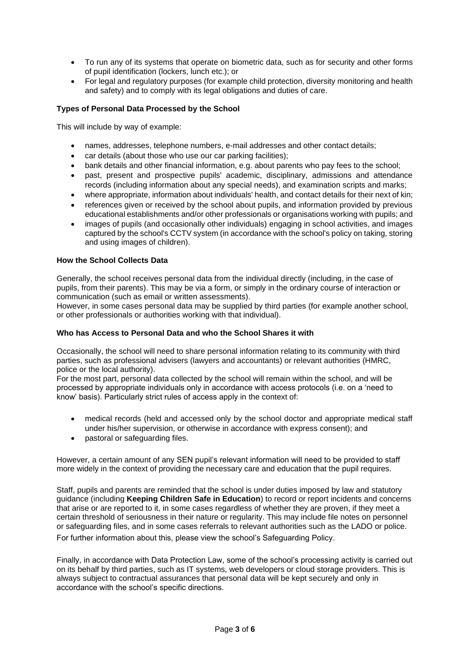- To run any of its systems that operate on biometric data, such as for security and other forms of pupil identification (lockers, lunch etc.); or
- For legal and regulatory purposes (for example child protection, diversity monitoring and health and safety) and to comply with its legal obligations and duties of care.

## <span id="page-2-0"></span>**Types of Personal Data Processed by the School**

This will include by way of example:

- names, addresses, telephone numbers, e-mail addresses and other contact details;
- car details (about those who use our car parking facilities):
- bank details and other financial information, e.g. about parents who pay fees to the school;
- past, present and prospective pupils' academic, disciplinary, admissions and attendance records (including information about any special needs), and examination scripts and marks;
- where appropriate, information about individuals' health, and contact details for their next of kin;
- references given or received by the school about pupils, and information provided by previous educational establishments and/or other professionals or organisations working with pupils; and
- images of pupils (and occasionally other individuals) engaging in school activities, and images captured by the school's CCTV system (in accordance with the school's policy on taking, storing and using images of children).

#### <span id="page-2-1"></span>**How the School Collects Data**

Generally, the school receives personal data from the individual directly (including, in the case of pupils, from their parents). This may be via a form, or simply in the ordinary course of interaction or communication (such as email or written assessments).

However, in some cases personal data may be supplied by third parties (for example another school, or other professionals or authorities working with that individual).

#### <span id="page-2-2"></span>**Who has Access to Personal Data and who the School Shares it with**

Occasionally, the school will need to share personal information relating to its community with third parties, such as professional advisers (lawyers and accountants) or relevant authorities (HMRC, police or the local authority).

For the most part, personal data collected by the school will remain within the school, and will be processed by appropriate individuals only in accordance with access protocols (i.e. on a 'need to know' basis). Particularly strict rules of access apply in the context of:

- medical records (held and accessed only by the school doctor and appropriate medical staff under his/her supervision, or otherwise in accordance with express consent); and
- pastoral or safeguarding files.

However, a certain amount of any SEN pupil's relevant information will need to be provided to staff more widely in the context of providing the necessary care and education that the pupil requires.

Staff, pupils and parents are reminded that the school is under duties imposed by law and statutory guidance (including **Keeping Children Safe in Education**) to record or report incidents and concerns that arise or are reported to it, in some cases regardless of whether they are proven, if they meet a certain threshold of seriousness in their nature or regularity. This may include file notes on personnel or safeguarding files, and in some cases referrals to relevant authorities such as the LADO or police.

For further information about this, please view the school's Safeguarding Policy.

Finally, in accordance with Data Protection Law, some of the school's processing activity is carried out on its behalf by third parties, such as IT systems, web developers or cloud storage providers. This is always subject to contractual assurances that personal data will be kept securely and only in accordance with the school's specific directions.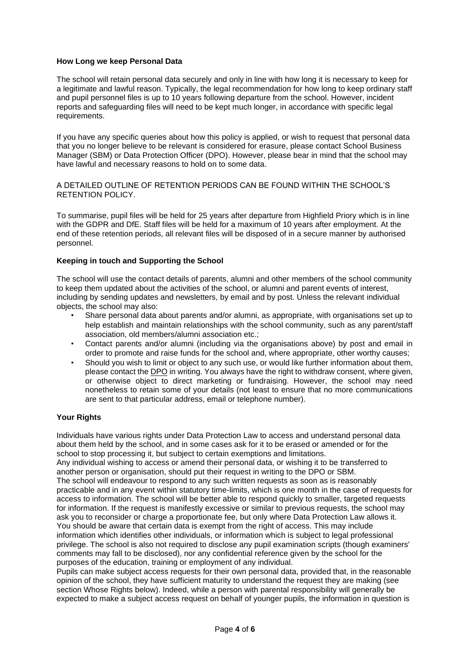## <span id="page-3-0"></span>**How Long we keep Personal Data**

The school will retain personal data securely and only in line with how long it is necessary to keep for a legitimate and lawful reason. Typically, the legal recommendation for how long to keep ordinary staff and pupil personnel files is up to 10 years following departure from the school. However, incident reports and safeguarding files will need to be kept much longer, in accordance with specific legal requirements.

If you have any specific queries about how this policy is applied, or wish to request that personal data that you no longer believe to be relevant is considered for erasure, please contact School Business Manager (SBM) or Data Protection Officer (DPO). However, please bear in mind that the school may have lawful and necessary reasons to hold on to some data.

A DETAILED OUTLINE OF RETENTION PERIODS CAN BE FOUND WITHIN THE SCHOOL'S RETENTION POLICY.

To summarise, pupil files will be held for 25 years after departure from Highfield Priory which is in line with the GDPR and DfE. Staff files will be held for a maximum of 10 years after employment. At the end of these retention periods, all relevant files will be disposed of in a secure manner by authorised personnel.

#### <span id="page-3-1"></span>**Keeping in touch and Supporting the School**

The school will use the contact details of parents, alumni and other members of the school community to keep them updated about the activities of the school, or alumni and parent events of interest, including by sending updates and newsletters, by email and by post. Unless the relevant individual objects, the school may also:

- Share personal data about parents and/or alumni, as appropriate, with organisations set up to help establish and maintain relationships with the school community, such as any parent/staff association, old members/alumni association etc.;
- Contact parents and/or alumni (including via the organisations above) by post and email in order to promote and raise funds for the school and, where appropriate, other worthy causes;
- Should you wish to limit or object to any such use, or would like further information about them, please contact the DPO in writing. You always have the right to withdraw consent, where given, or otherwise object to direct marketing or fundraising. However, the school may need nonetheless to retain some of your details (not least to ensure that no more communications are sent to that particular address, email or telephone number).

#### <span id="page-3-2"></span>**Your Rights**

Individuals have various rights under Data Protection Law to access and understand personal data about them held by the school, and in some cases ask for it to be erased or amended or for the school to stop processing it, but subject to certain exemptions and limitations.

Any individual wishing to access or amend their personal data, or wishing it to be transferred to another person or organisation, should put their request in writing to the DPO or SBM. The school will endeavour to respond to any such written requests as soon as is reasonably practicable and in any event within statutory time-limits, which is one month in the case of requests for access to information. The school will be better able to respond quickly to smaller, targeted requests for information. If the request is manifestly excessive or similar to previous requests, the school may ask you to reconsider or charge a proportionate fee, but only where Data Protection Law allows it. You should be aware that certain data is exempt from the right of access. This may include information which identifies other individuals, or information which is subject to legal professional privilege. The school is also not required to disclose any pupil examination scripts (though examiners' comments may fall to be disclosed), nor any confidential reference given by the school for the purposes of the education, training or employment of any individual.

Pupils can make subject access requests for their own personal data, provided that, in the reasonable opinion of the school, they have sufficient maturity to understand the request they are making (see section Whose Rights below). Indeed, while a person with parental responsibility will generally be expected to make a subject access request on behalf of younger pupils, the information in question is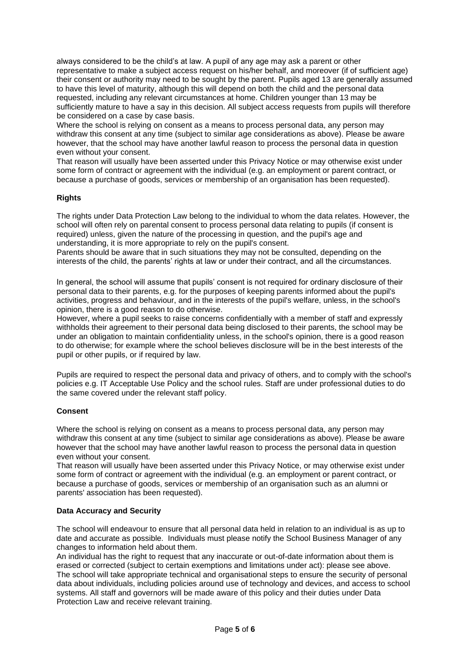always considered to be the child's at law. A pupil of any age may ask a parent or other representative to make a subject access request on his/her behalf, and moreover (if of sufficient age) their consent or authority may need to be sought by the parent. Pupils aged 13 are generally assumed to have this level of maturity, although this will depend on both the child and the personal data requested, including any relevant circumstances at home. Children younger than 13 may be sufficiently mature to have a say in this decision. All subject access requests from pupils will therefore be considered on a case by case basis.

Where the school is relying on consent as a means to process personal data, any person may withdraw this consent at any time (subject to similar age considerations as above). Please be aware however, that the school may have another lawful reason to process the personal data in question even without your consent.

That reason will usually have been asserted under this Privacy Notice or may otherwise exist under some form of contract or agreement with the individual (e.g. an employment or parent contract, or because a purchase of goods, services or membership of an organisation has been requested).

## <span id="page-4-0"></span>**Rights**

The rights under Data Protection Law belong to the individual to whom the data relates. However, the school will often rely on parental consent to process personal data relating to pupils (if consent is required) unless, given the nature of the processing in question, and the pupil's age and understanding, it is more appropriate to rely on the pupil's consent.

Parents should be aware that in such situations they may not be consulted, depending on the interests of the child, the parents' rights at law or under their contract, and all the circumstances.

In general, the school will assume that pupils' consent is not required for ordinary disclosure of their personal data to their parents, e.g. for the purposes of keeping parents informed about the pupil's activities, progress and behaviour, and in the interests of the pupil's welfare, unless, in the school's opinion, there is a good reason to do otherwise.

However, where a pupil seeks to raise concerns confidentially with a member of staff and expressly withholds their agreement to their personal data being disclosed to their parents, the school may be under an obligation to maintain confidentiality unless, in the school's opinion, there is a good reason to do otherwise; for example where the school believes disclosure will be in the best interests of the pupil or other pupils, or if required by law.

Pupils are required to respect the personal data and privacy of others, and to comply with the school's policies e.g. IT Acceptable Use Policy and the school rules. Staff are under professional duties to do the same covered under the relevant staff policy.

## <span id="page-4-1"></span>**Consent**

Where the school is relying on consent as a means to process personal data, any person may withdraw this consent at any time (subject to similar age considerations as above). Please be aware however that the school may have another lawful reason to process the personal data in question even without your consent.

That reason will usually have been asserted under this Privacy Notice, or may otherwise exist under some form of contract or agreement with the individual (e.g. an employment or parent contract, or because a purchase of goods, services or membership of an organisation such as an alumni or parents' association has been requested).

## <span id="page-4-2"></span>**Data Accuracy and Security**

The school will endeavour to ensure that all personal data held in relation to an individual is as up to date and accurate as possible. Individuals must please notify the School Business Manager of any changes to information held about them.

An individual has the right to request that any inaccurate or out-of-date information about them is erased or corrected (subject to certain exemptions and limitations under act): please see above. The school will take appropriate technical and organisational steps to ensure the security of personal data about individuals, including policies around use of technology and devices, and access to school systems. All staff and governors will be made aware of this policy and their duties under Data Protection Law and receive relevant training.